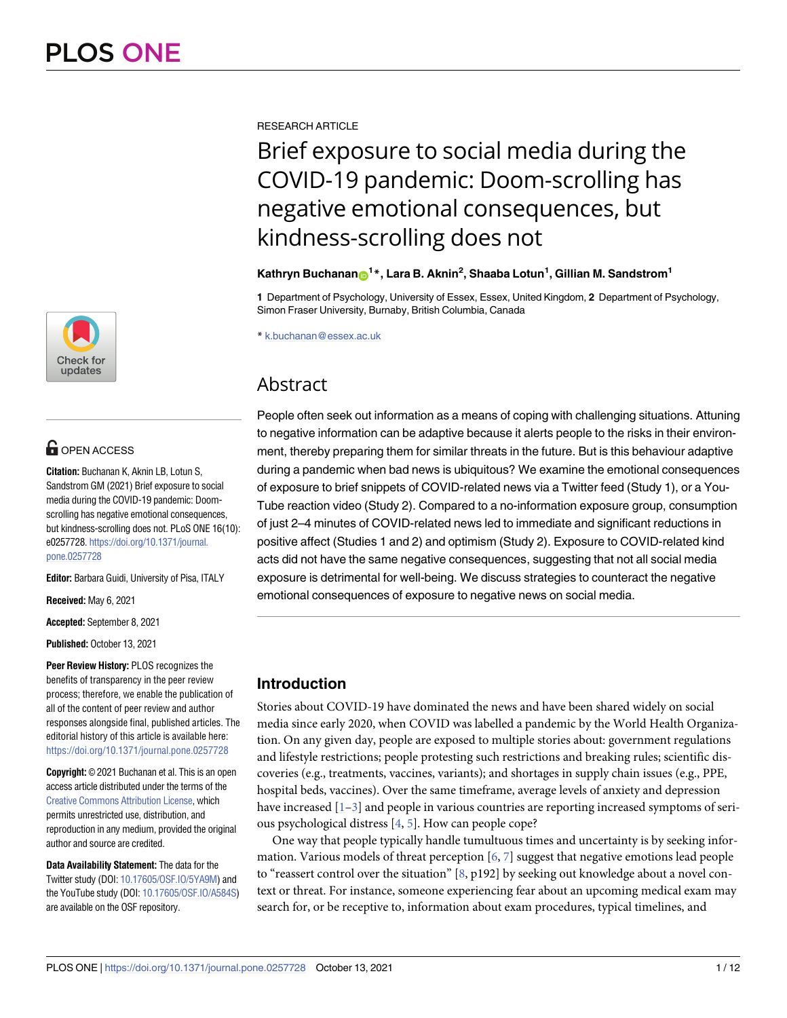

# **OPEN ACCESS**

**Citation:** Buchanan K, Aknin LB, Lotun S, Sandstrom GM (2021) Brief exposure to social media during the COVID-19 pandemic: Doomscrolling has negative emotional consequences, but kindness-scrolling does not. PLoS ONE 16(10): e0257728. [https://doi.org/10.1371/journal.](https://doi.org/10.1371/journal.pone.0257728) [pone.0257728](https://doi.org/10.1371/journal.pone.0257728)

**Editor:** Barbara Guidi, University of Pisa, ITALY

**Received:** May 6, 2021

**Accepted:** September 8, 2021

**Published:** October 13, 2021

**Peer Review History:** PLOS recognizes the benefits of transparency in the peer review process; therefore, we enable the publication of all of the content of peer review and author responses alongside final, published articles. The editorial history of this article is available here: <https://doi.org/10.1371/journal.pone.0257728>

**Copyright:** © 2021 Buchanan et al. This is an open access article distributed under the terms of the Creative Commons [Attribution](http://creativecommons.org/licenses/by/4.0/) License, which permits unrestricted use, distribution, and reproduction in any medium, provided the original author and source are credited.

**Data Availability Statement:** The data for the Twitter study (DOI: [10.17605/OSF.IO/5YA9M\)](https://doi.org/10.17605/OSF.IO/5YA9M) and the YouTube study (DOI: [10.17605/OSF.IO/A584S\)](https://doi.org/10.17605/OSF.IO/A584S) are available on the OSF repository.

<span id="page-0-0"></span>RESEARCH ARTICLE

# Brief exposure to social media during the COVID-19 pandemic: Doom-scrolling has negative emotional consequences, but kindness-scrolling does not

## $\mathbf{K}$ athryn Buchanan $\mathbf{D}^{1*}$ , Lara B. Aknin<sup>2</sup>, Shaaba Lotun<sup>1</sup>, Gillian M. Sandstrom<sup>1</sup>

**1** Department of Psychology, University of Essex, Essex, United Kingdom, **2** Department of Psychology, Simon Fraser University, Burnaby, British Columbia, Canada

\* k.buchanan@essex.ac.uk

# Abstract

People often seek out information as a means of coping with challenging situations. Attuning to negative information can be adaptive because it alerts people to the risks in their environment, thereby preparing them for similar threats in the future. But is this behaviour adaptive during a pandemic when bad news is ubiquitous? We examine the emotional consequences of exposure to brief snippets of COVID-related news via a Twitter feed (Study 1), or a You-Tube reaction video (Study 2). Compared to a no-information exposure group, consumption of just 2–4 minutes of COVID-related news led to immediate and significant reductions in positive affect (Studies 1 and 2) and optimism (Study 2). Exposure to COVID-related kind acts did not have the same negative consequences, suggesting that not all social media exposure is detrimental for well-being. We discuss strategies to counteract the negative emotional consequences of exposure to negative news on social media.

# **Introduction**

Stories about COVID-19 have dominated the news and have been shared widely on social media since early 2020, when COVID was labelled a pandemic by the World Health Organization. On any given day, people are exposed to multiple stories about: government regulations and lifestyle restrictions; people protesting such restrictions and breaking rules; scientific discoveries (e.g., treatments, vaccines, variants); and shortages in supply chain issues (e.g., PPE, hospital beds, vaccines). Over the same timeframe, average levels of anxiety and depression have increased  $[1-3]$  and people in various countries are reporting increased symptoms of serious psychological distress [\[4](#page-9-0), [5](#page-9-0)]. How can people cope?

One way that people typically handle tumultuous times and uncertainty is by seeking information. Various models of threat perception  $[6, 7]$  $[6, 7]$  $[6, 7]$  $[6, 7]$  suggest that negative emotions lead people to "reassert control over the situation" [\[8,](#page-10-0) p192] by seeking out knowledge about a novel context or threat. For instance, someone experiencing fear about an upcoming medical exam may search for, or be receptive to, information about exam procedures, typical timelines, and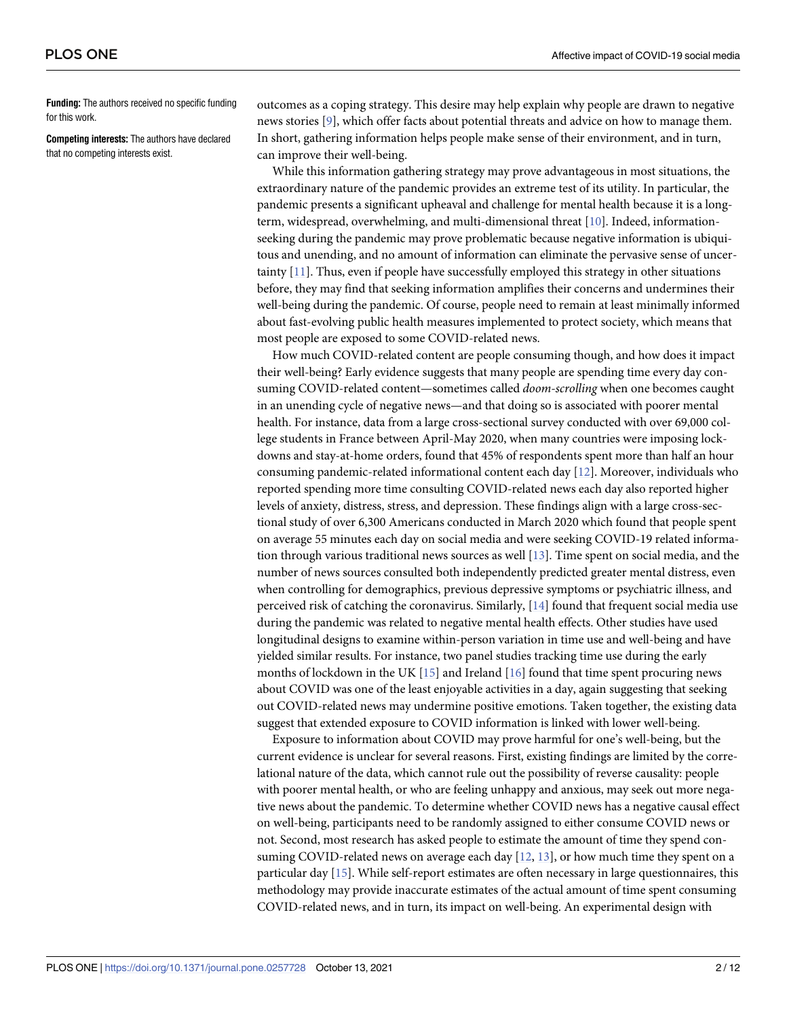<span id="page-1-0"></span>**Funding:** The authors received no specific funding for this work.

**Competing interests:** The authors have declared that no competing interests exist.

outcomes as a coping strategy. This desire may help explain why people are drawn to negative news stories [[9\]](#page-10-0), which offer facts about potential threats and advice on how to manage them. In short, gathering information helps people make sense of their environment, and in turn, can improve their well-being.

While this information gathering strategy may prove advantageous in most situations, the extraordinary nature of the pandemic provides an extreme test of its utility. In particular, the pandemic presents a significant upheaval and challenge for mental health because it is a longterm, widespread, overwhelming, and multi-dimensional threat [\[10\]](#page-10-0). Indeed, informationseeking during the pandemic may prove problematic because negative information is ubiquitous and unending, and no amount of information can eliminate the pervasive sense of uncertainty [[11](#page-10-0)]. Thus, even if people have successfully employed this strategy in other situations before, they may find that seeking information amplifies their concerns and undermines their well-being during the pandemic. Of course, people need to remain at least minimally informed about fast-evolving public health measures implemented to protect society, which means that most people are exposed to some COVID-related news.

How much COVID-related content are people consuming though, and how does it impact their well-being? Early evidence suggests that many people are spending time every day consuming COVID-related content—sometimes called *doom-scrolling* when one becomes caught in an unending cycle of negative news—and that doing so is associated with poorer mental health. For instance, data from a large cross-sectional survey conducted with over 69,000 college students in France between April-May 2020, when many countries were imposing lockdowns and stay-at-home orders, found that 45% of respondents spent more than half an hour consuming pandemic-related informational content each day [[12](#page-10-0)]. Moreover, individuals who reported spending more time consulting COVID-related news each day also reported higher levels of anxiety, distress, stress, and depression. These findings align with a large cross-sectional study of over 6,300 Americans conducted in March 2020 which found that people spent on average 55 minutes each day on social media and were seeking COVID-19 related information through various traditional news sources as well [[13](#page-10-0)]. Time spent on social media, and the number of news sources consulted both independently predicted greater mental distress, even when controlling for demographics, previous depressive symptoms or psychiatric illness, and perceived risk of catching the coronavirus. Similarly, [\[14\]](#page-10-0) found that frequent social media use during the pandemic was related to negative mental health effects. Other studies have used longitudinal designs to examine within-person variation in time use and well-being and have yielded similar results. For instance, two panel studies tracking time use during the early months of lockdown in the UK  $[15]$  and Ireland  $[16]$  found that time spent procuring news about COVID was one of the least enjoyable activities in a day, again suggesting that seeking out COVID-related news may undermine positive emotions. Taken together, the existing data suggest that extended exposure to COVID information is linked with lower well-being.

Exposure to information about COVID may prove harmful for one's well-being, but the current evidence is unclear for several reasons. First, existing findings are limited by the correlational nature of the data, which cannot rule out the possibility of reverse causality: people with poorer mental health, or who are feeling unhappy and anxious, may seek out more negative news about the pandemic. To determine whether COVID news has a negative causal effect on well-being, participants need to be randomly assigned to either consume COVID news or not. Second, most research has asked people to estimate the amount of time they spend consuming COVID-related news on average each day [\[12,](#page-10-0) [13\]](#page-10-0), or how much time they spent on a particular day [[15](#page-10-0)]. While self-report estimates are often necessary in large questionnaires, this methodology may provide inaccurate estimates of the actual amount of time spent consuming COVID-related news, and in turn, its impact on well-being. An experimental design with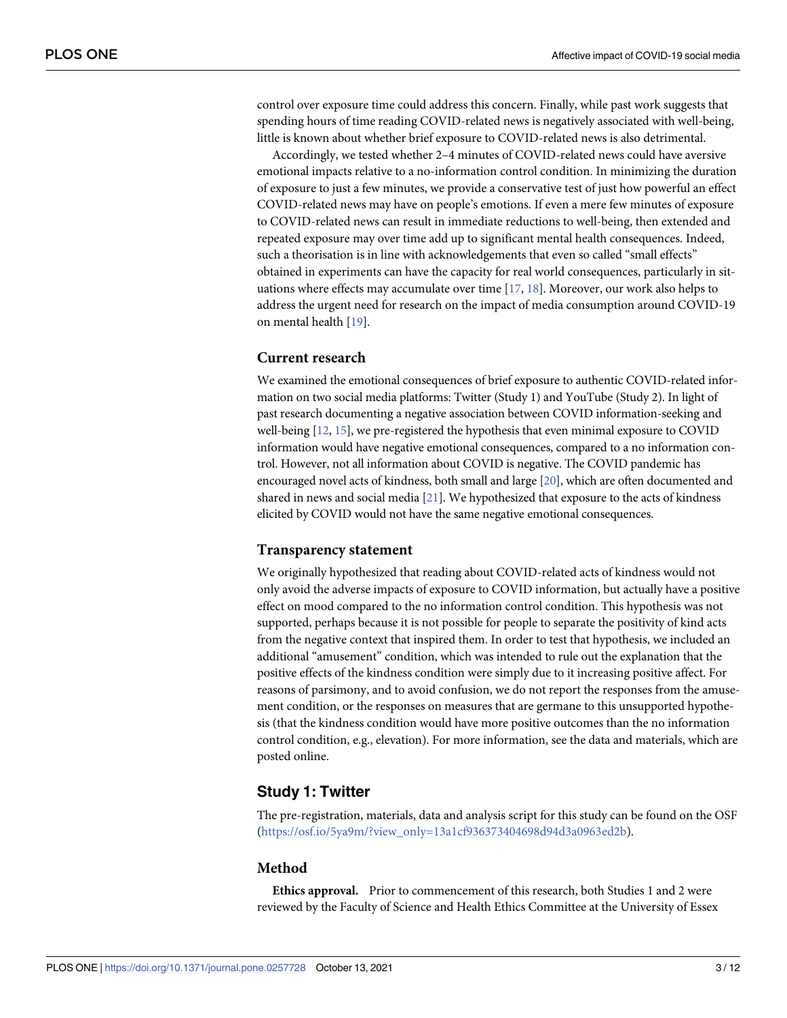<span id="page-2-0"></span>control over exposure time could address this concern. Finally, while past work suggests that spending hours of time reading COVID-related news is negatively associated with well-being, little is known about whether brief exposure to COVID-related news is also detrimental.

Accordingly, we tested whether 2–4 minutes of COVID-related news could have aversive emotional impacts relative to a no-information control condition. In minimizing the duration of exposure to just a few minutes, we provide a conservative test of just how powerful an effect COVID-related news may have on people's emotions. If even a mere few minutes of exposure to COVID-related news can result in immediate reductions to well-being, then extended and repeated exposure may over time add up to significant mental health consequences. Indeed, such a theorisation is in line with acknowledgements that even so called "small effects" obtained in experiments can have the capacity for real world consequences, particularly in situations where effects may accumulate over time [[17](#page-10-0), [18](#page-10-0)]. Moreover, our work also helps to address the urgent need for research on the impact of media consumption around COVID-19 on mental health [[19](#page-10-0)].

### **Current research**

We examined the emotional consequences of brief exposure to authentic COVID-related information on two social media platforms: Twitter (Study 1) and YouTube (Study 2). In light of past research documenting a negative association between COVID information-seeking and well-being [[12,](#page-10-0) [15\]](#page-10-0), we pre-registered the hypothesis that even minimal exposure to COVID information would have negative emotional consequences, compared to a no information control. However, not all information about COVID is negative. The COVID pandemic has encouraged novel acts of kindness, both small and large [\[20\]](#page-10-0), which are often documented and shared in news and social media  $[21]$  $[21]$ . We hypothesized that exposure to the acts of kindness elicited by COVID would not have the same negative emotional consequences.

### **Transparency statement**

We originally hypothesized that reading about COVID-related acts of kindness would not only avoid the adverse impacts of exposure to COVID information, but actually have a positive effect on mood compared to the no information control condition. This hypothesis was not supported, perhaps because it is not possible for people to separate the positivity of kind acts from the negative context that inspired them. In order to test that hypothesis, we included an additional "amusement" condition, which was intended to rule out the explanation that the positive effects of the kindness condition were simply due to it increasing positive affect. For reasons of parsimony, and to avoid confusion, we do not report the responses from the amusement condition, or the responses on measures that are germane to this unsupported hypothesis (that the kindness condition would have more positive outcomes than the no information control condition, e.g., elevation). For more information, see the data and materials, which are posted online.

### **Study 1: Twitter**

The pre-registration, materials, data and analysis script for this study can be found on the OSF [\(https://osf.io/5ya9m/?view\\_only=13a1cf936373404698d94d3a0963ed2b\)](https://osf.io/5ya9m/?view_only=13a1cf936373404698d94d3a0963ed2b).

#### **Method**

**Ethics approval.** Prior to commencement of this research, both Studies 1 and 2 were reviewed by the Faculty of Science and Health Ethics Committee at the University of Essex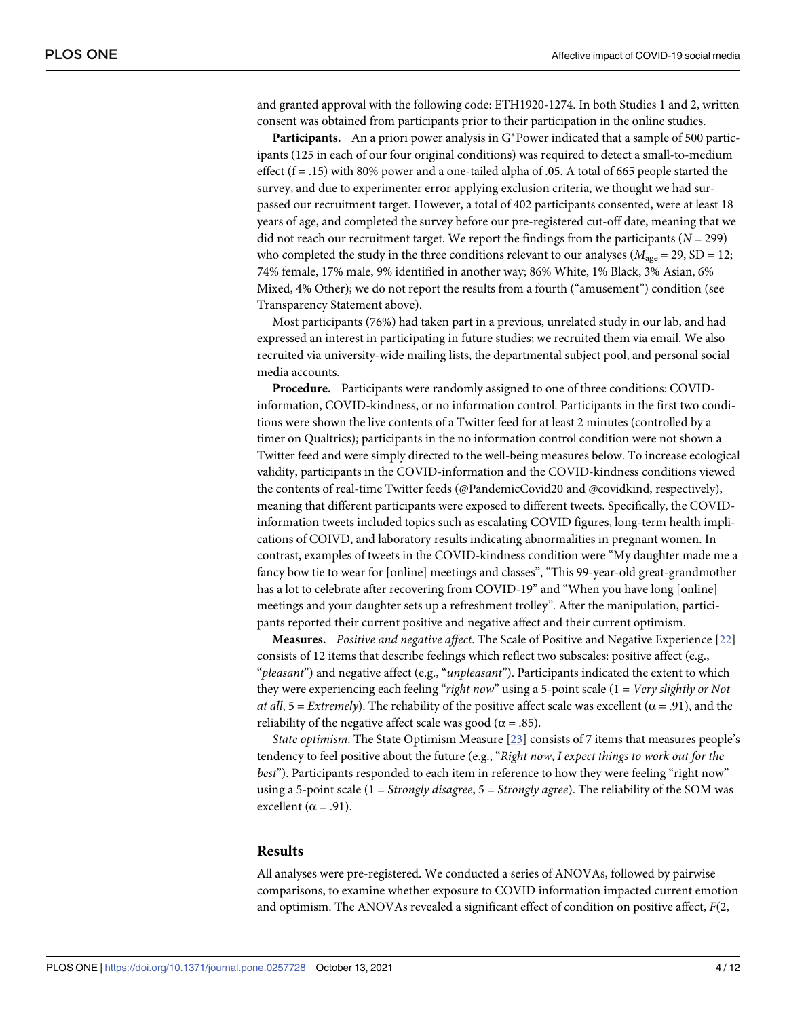<span id="page-3-0"></span>and granted approval with the following code: ETH1920-1274. In both Studies 1 and 2, written consent was obtained from participants prior to their participation in the online studies.

**Participants.** An a priori power analysis in G\*Power indicated that a sample of 500 participants (125 in each of our four original conditions) was required to detect a small-to-medium effect  $(f = .15)$  with 80% power and a one-tailed alpha of .05. A total of 665 people started the survey, and due to experimenter error applying exclusion criteria, we thought we had surpassed our recruitment target. However, a total of 402 participants consented, were at least 18 years of age, and completed the survey before our pre-registered cut-off date, meaning that we did not reach our recruitment target. We report the findings from the participants  $(N = 299)$ who completed the study in the three conditions relevant to our analyses ( $M_{\text{age}} = 29$ , SD = 12; 74% female, 17% male, 9% identified in another way; 86% White, 1% Black, 3% Asian, 6% Mixed, 4% Other); we do not report the results from a fourth ("amusement") condition (see Transparency Statement above).

Most participants (76%) had taken part in a previous, unrelated study in our lab, and had expressed an interest in participating in future studies; we recruited them via email. We also recruited via university-wide mailing lists, the departmental subject pool, and personal social media accounts.

**Procedure.** Participants were randomly assigned to one of three conditions: COVIDinformation, COVID-kindness, or no information control. Participants in the first two conditions were shown the live contents of a Twitter feed for at least 2 minutes (controlled by a timer on Qualtrics); participants in the no information control condition were not shown a Twitter feed and were simply directed to the well-being measures below. To increase ecological validity, participants in the COVID-information and the COVID-kindness conditions viewed the contents of real-time Twitter feeds (@PandemicCovid20 and @covidkind, respectively), meaning that different participants were exposed to different tweets. Specifically, the COVIDinformation tweets included topics such as escalating COVID figures, long-term health implications of COIVD, and laboratory results indicating abnormalities in pregnant women. In contrast, examples of tweets in the COVID-kindness condition were "My daughter made me a fancy bow tie to wear for [online] meetings and classes", "This 99-year-old great-grandmother has a lot to celebrate after recovering from COVID-19" and "When you have long [online] meetings and your daughter sets up a refreshment trolley". After the manipulation, participants reported their current positive and negative affect and their current optimism.

**Measures.** *Positive and negative affect*. The Scale of Positive and Negative Experience [[22](#page-10-0)] consists of 12 items that describe feelings which reflect two subscales: positive affect (e.g., "*pleasant*") and negative affect (e.g., "*unpleasant*"). Participants indicated the extent to which they were experiencing each feeling "*right now*" using a 5-point scale (1 = *Very slightly or Not at all*,  $5 =$  *Extremely*). The reliability of the positive affect scale was excellent ( $\alpha$  = .91), and the reliability of the negative affect scale was good ( $\alpha = .85$ ).

*State optimism*. The State Optimism Measure [\[23\]](#page-10-0) consists of 7 items that measures people's tendency to feel positive about the future (e.g., "*Right now*, *I expect things to work out for the best*"). Participants responded to each item in reference to how they were feeling "right now" using a 5-point scale (1 = *Strongly disagree*, 5 = *Strongly agree*). The reliability of the SOM was excellent ( $\alpha$  = .91).

#### **Results**

All analyses were pre-registered. We conducted a series of ANOVAs, followed by pairwise comparisons, to examine whether exposure to COVID information impacted current emotion and optimism. The ANOVAs revealed a significant effect of condition on positive affect, *F*(2,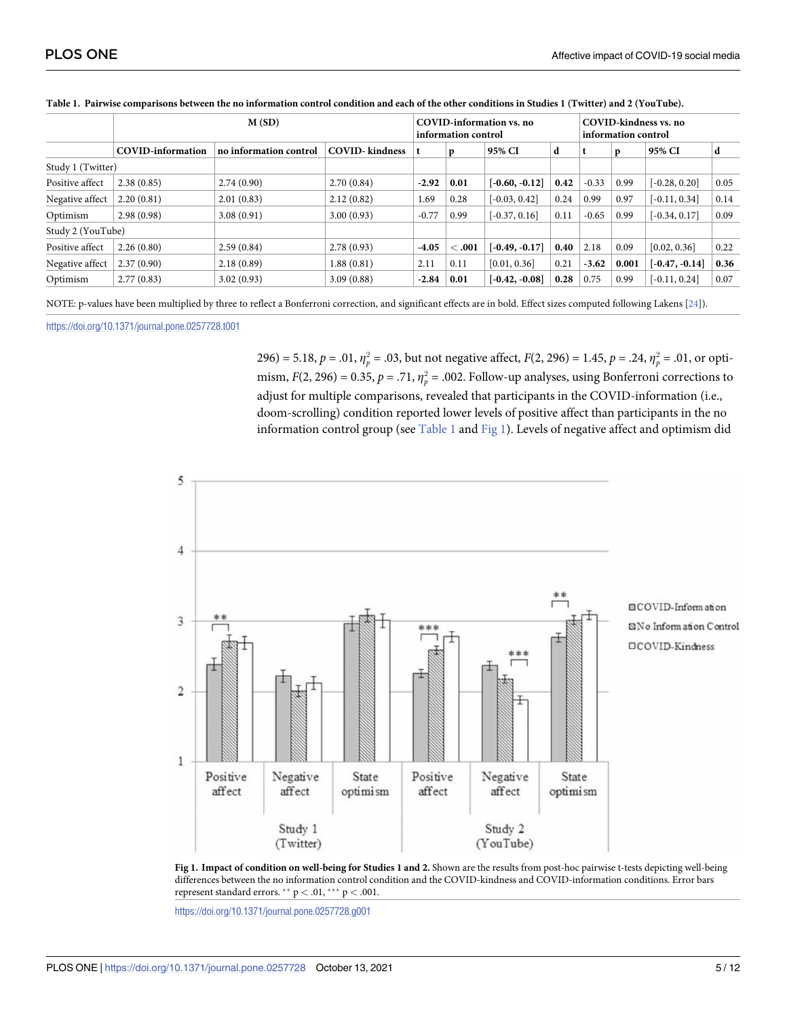|                   | M(SD)                    |                        |                        | COVID-information vs. no<br>information control |        |                  |      | COVID-kindness vs. no<br>information control |       |                  |      |
|-------------------|--------------------------|------------------------|------------------------|-------------------------------------------------|--------|------------------|------|----------------------------------------------|-------|------------------|------|
|                   | <b>COVID-information</b> | no information control | <b>COVID-</b> kindness |                                                 | p      | 95% CI           | d    |                                              | p     | 95% CI           | d    |
| Study 1 (Twitter) |                          |                        |                        |                                                 |        |                  |      |                                              |       |                  |      |
| Positive affect   | 2.38(0.85)               | 2.74(0.90)             | 2.70(0.84)             | $-2.92$                                         | 0.01   | $[-0.60, -0.12]$ | 0.42 | $-0.33$                                      | 0.99  | $[-0.28, 0.20]$  | 0.05 |
| Negative affect   | 2.20(0.81)               | 2.01(0.83)             | 2.12(0.82)             | 1.69                                            | 0.28   | $[-0.03, 0.42]$  | 0.24 | 0.99                                         | 0.97  | $[-0.11, 0.34]$  | 0.14 |
| Optimism          | 2.98(0.98)               | 3.08(0.91)             | 3.00(0.93)             | $-0.77$                                         | 0.99   | $[-0.37, 0.16]$  | 0.11 | $-0.65$                                      | 0.99  | $[-0.34, 0.17]$  | 0.09 |
| Study 2 (YouTube) |                          |                        |                        |                                                 |        |                  |      |                                              |       |                  |      |
| Positive affect   | 2.26(0.80)               | 2.59(0.84)             | 2.78(0.93)             | $-4.05$                                         | < 0.01 | $[-0.49, -0.17]$ | 0.40 | 2.18                                         | 0.09  | [0.02, 0.36]     | 0.22 |
| Negative affect   | 2.37(0.90)               | 2.18(0.89)             | 1.88(0.81)             | 2.11                                            | 0.11   | [0.01, 0.36]     | 0.21 | $-3.62$                                      | 0.001 | $[-0.47, -0.14]$ | 0.36 |
| Optimism          | 2.77(0.83)               | 3.02(0.93)             | 3.09(0.88)             | $-2.84$                                         | 0.01   | $[-0.42, -0.08]$ | 0.28 | 0.75                                         | 0.99  | $[-0.11, 0.24]$  | 0.07 |

#### <span id="page-4-0"></span>Table 1. Pairwise comparisons between the no information control condition and each of the other conditions in Studies 1 (Twitter) and 2 (YouTube).

NOTE: p-values have been multiplied by three to reflect a Bonferroni correction, and significant effects are in bold. Effect sizes computed following Lakens [[24\]](#page-10-0)).

<https://doi.org/10.1371/journal.pone.0257728.t001>

296) = 5.18,  $p = .01$ ,  $\eta_p^2 = .03$ , but not negative affect,  $F(2, 296) = 1.45$ ,  $p = .24$ ,  $\eta_p^2 = .01$ , or optimism,  $F(2, 296) = 0.35$ ,  $p = .71$ ,  $\eta_p^2 = .002$ . Follow-up analyses, using Bonferroni corrections to adjust for multiple comparisons, revealed that participants in the COVID-information (i.e., doom-scrolling) condition reported lower levels of positive affect than participants in the no information control group (see Table 1 and Fig 1). Levels of negative affect and optimism did





<https://doi.org/10.1371/journal.pone.0257728.g001>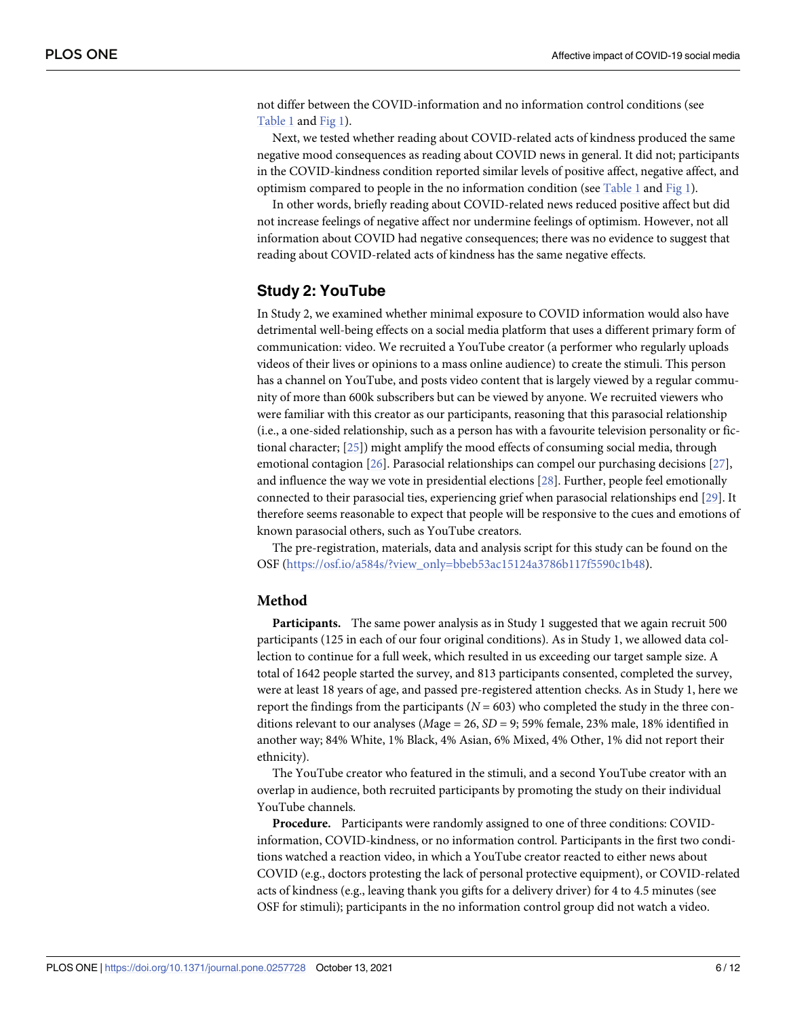<span id="page-5-0"></span>not differ between the COVID-information and no information control conditions (see [Table](#page-4-0) 1 and [Fig](#page-4-0) 1).

Next, we tested whether reading about COVID-related acts of kindness produced the same negative mood consequences as reading about COVID news in general. It did not; participants in the COVID-kindness condition reported similar levels of positive affect, negative affect, and optimism compared to people in the no information condition (see [Table](#page-4-0) 1 and [Fig](#page-4-0) 1).

In other words, briefly reading about COVID-related news reduced positive affect but did not increase feelings of negative affect nor undermine feelings of optimism. However, not all information about COVID had negative consequences; there was no evidence to suggest that reading about COVID-related acts of kindness has the same negative effects.

# **Study 2: YouTube**

In Study 2, we examined whether minimal exposure to COVID information would also have detrimental well-being effects on a social media platform that uses a different primary form of communication: video. We recruited a YouTube creator (a performer who regularly uploads videos of their lives or opinions to a mass online audience) to create the stimuli. This person has a channel on YouTube, and posts video content that is largely viewed by a regular community of more than 600k subscribers but can be viewed by anyone. We recruited viewers who were familiar with this creator as our participants, reasoning that this parasocial relationship (i.e., a one-sided relationship, such as a person has with a favourite television personality or fictional character; [\[25\]](#page-10-0)) might amplify the mood effects of consuming social media, through emotional contagion [\[26\]](#page-10-0). Parasocial relationships can compel our purchasing decisions [[27](#page-10-0)], and influence the way we vote in presidential elections [\[28\]](#page-11-0). Further, people feel emotionally connected to their parasocial ties, experiencing grief when parasocial relationships end [\[29\]](#page-11-0). It therefore seems reasonable to expect that people will be responsive to the cues and emotions of known parasocial others, such as YouTube creators.

The pre-registration, materials, data and analysis script for this study can be found on the OSF [\(https://osf.io/a584s/?view\\_only=bbeb53ac15124a3786b117f5590c1b48](https://osf.io/a584s/?view_only=bbeb53ac15124a3786b117f5590c1b48)).

#### **Method**

**Participants.** The same power analysis as in Study 1 suggested that we again recruit 500 participants (125 in each of our four original conditions). As in Study 1, we allowed data collection to continue for a full week, which resulted in us exceeding our target sample size. A total of 1642 people started the survey, and 813 participants consented, completed the survey, were at least 18 years of age, and passed pre-registered attention checks. As in Study 1, here we report the findings from the participants ( $N = 603$ ) who completed the study in the three conditions relevant to our analyses (*M*age = 26, *SD* = 9; 59% female, 23% male, 18% identified in another way; 84% White, 1% Black, 4% Asian, 6% Mixed, 4% Other, 1% did not report their ethnicity).

The YouTube creator who featured in the stimuli, and a second YouTube creator with an overlap in audience, both recruited participants by promoting the study on their individual YouTube channels.

**Procedure.** Participants were randomly assigned to one of three conditions: COVIDinformation, COVID-kindness, or no information control. Participants in the first two conditions watched a reaction video, in which a YouTube creator reacted to either news about COVID (e.g., doctors protesting the lack of personal protective equipment), or COVID-related acts of kindness (e.g., leaving thank you gifts for a delivery driver) for 4 to 4.5 minutes (see OSF for stimuli); participants in the no information control group did not watch a video.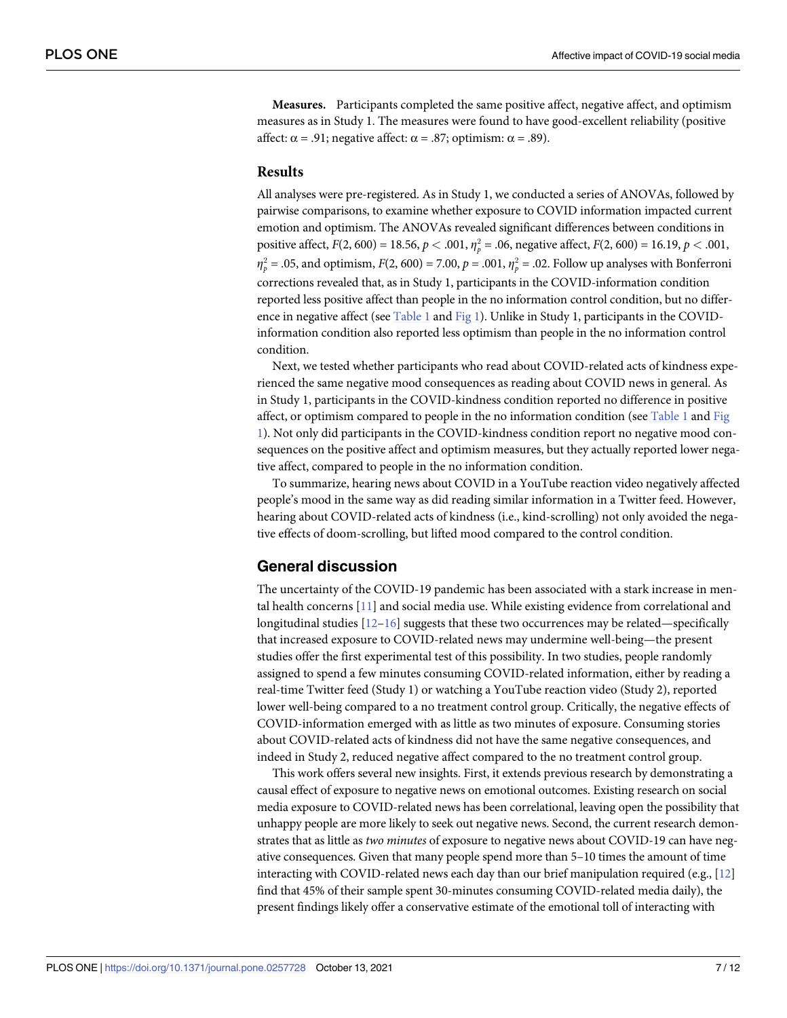**Measures.** Participants completed the same positive affect, negative affect, and optimism measures as in Study 1. The measures were found to have good-excellent reliability (positive affect:  $\alpha$  = .91; negative affect:  $\alpha$  = .87; optimism:  $\alpha$  = .89).

#### **Results**

All analyses were pre-registered. As in Study 1, we conducted a series of ANOVAs, followed by pairwise comparisons, to examine whether exposure to COVID information impacted current emotion and optimism. The ANOVAs revealed significant differences between conditions in positive affect,  $F(2, 600) = 18.56$ ,  $p < .001$ ,  $\eta_p^2 = .06$ , negative affect,  $F(2, 600) = 16.19$ ,  $p < .001$ ,  $\eta_p^2$  = .05, and optimism, *F*(2, 600) = 7.00, *p* = .001,  $\eta_p^2$  = .02. Follow up analyses with Bonferroni corrections revealed that, as in Study 1, participants in the COVID-information condition reported less positive affect than people in the no information control condition, but no difference in negative affect (see [Table](#page-4-0) 1 and [Fig](#page-4-0) 1). Unlike in Study 1, participants in the COVIDinformation condition also reported less optimism than people in the no information control condition.

Next, we tested whether participants who read about COVID-related acts of kindness experienced the same negative mood consequences as reading about COVID news in general. As in Study 1, participants in the COVID-kindness condition reported no difference in positive affect, or optimism compared to people in the no information condition (see [Table](#page-4-0) 1 and [Fig](#page-4-0) [1\)](#page-4-0). Not only did participants in the COVID-kindness condition report no negative mood consequences on the positive affect and optimism measures, but they actually reported lower negative affect, compared to people in the no information condition.

To summarize, hearing news about COVID in a YouTube reaction video negatively affected people's mood in the same way as did reading similar information in a Twitter feed. However, hearing about COVID-related acts of kindness (i.e., kind-scrolling) not only avoided the negative effects of doom-scrolling, but lifted mood compared to the control condition.

### **General discussion**

The uncertainty of the COVID-19 pandemic has been associated with a stark increase in mental health concerns [\[11\]](#page-10-0) and social media use. While existing evidence from correlational and longitudinal studies [\[12–16\]](#page-10-0) suggests that these two occurrences may be related—specifically that increased exposure to COVID-related news may undermine well-being—the present studies offer the first experimental test of this possibility. In two studies, people randomly assigned to spend a few minutes consuming COVID-related information, either by reading a real-time Twitter feed (Study 1) or watching a YouTube reaction video (Study 2), reported lower well-being compared to a no treatment control group. Critically, the negative effects of COVID-information emerged with as little as two minutes of exposure. Consuming stories about COVID-related acts of kindness did not have the same negative consequences, and indeed in Study 2, reduced negative affect compared to the no treatment control group.

This work offers several new insights. First, it extends previous research by demonstrating a causal effect of exposure to negative news on emotional outcomes. Existing research on social media exposure to COVID-related news has been correlational, leaving open the possibility that unhappy people are more likely to seek out negative news. Second, the current research demonstrates that as little as *two minutes* of exposure to negative news about COVID-19 can have negative consequences. Given that many people spend more than 5–10 times the amount of time interacting with COVID-related news each day than our brief manipulation required (e.g., [\[12\]](#page-10-0) find that 45% of their sample spent 30-minutes consuming COVID-related media daily), the present findings likely offer a conservative estimate of the emotional toll of interacting with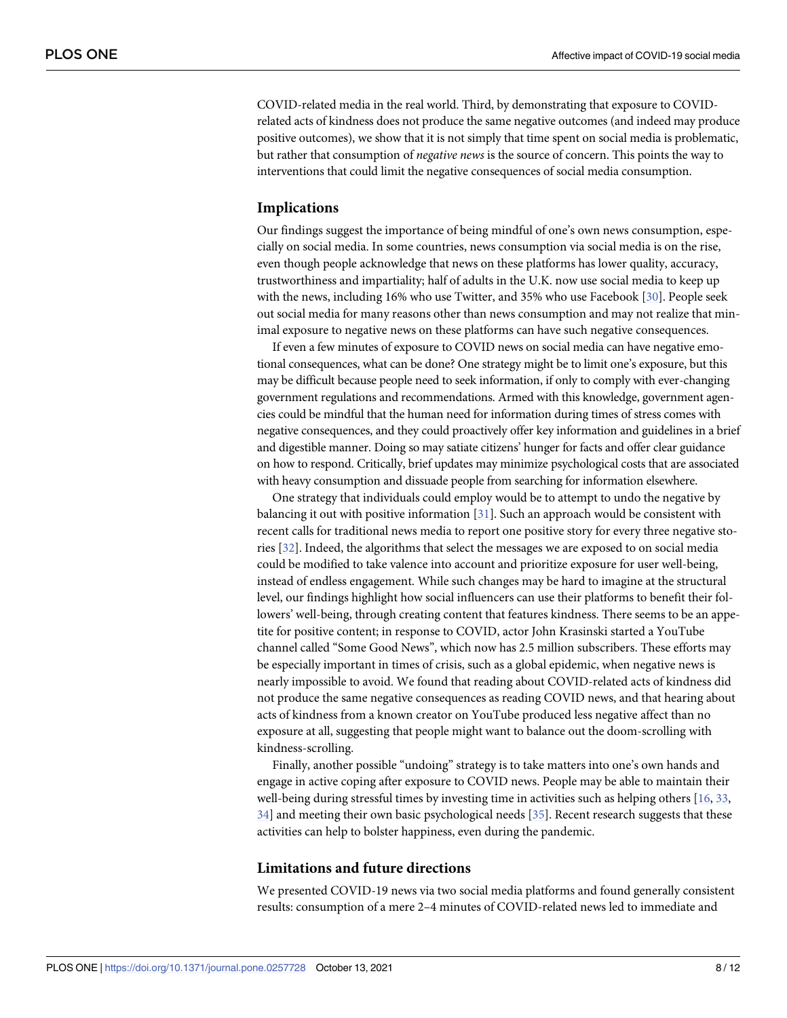<span id="page-7-0"></span>COVID-related media in the real world. Third, by demonstrating that exposure to COVIDrelated acts of kindness does not produce the same negative outcomes (and indeed may produce positive outcomes), we show that it is not simply that time spent on social media is problematic, but rather that consumption of *negative news* is the source of concern. This points the way to interventions that could limit the negative consequences of social media consumption.

#### **Implications**

Our findings suggest the importance of being mindful of one's own news consumption, especially on social media. In some countries, news consumption via social media is on the rise, even though people acknowledge that news on these platforms has lower quality, accuracy, trustworthiness and impartiality; half of adults in the U.K. now use social media to keep up with the news, including 16% who use Twitter, and 35% who use Facebook [[30](#page-11-0)]. People seek out social media for many reasons other than news consumption and may not realize that minimal exposure to negative news on these platforms can have such negative consequences.

If even a few minutes of exposure to COVID news on social media can have negative emotional consequences, what can be done? One strategy might be to limit one's exposure, but this may be difficult because people need to seek information, if only to comply with ever-changing government regulations and recommendations. Armed with this knowledge, government agencies could be mindful that the human need for information during times of stress comes with negative consequences, and they could proactively offer key information and guidelines in a brief and digestible manner. Doing so may satiate citizens' hunger for facts and offer clear guidance on how to respond. Critically, brief updates may minimize psychological costs that are associated with heavy consumption and dissuade people from searching for information elsewhere.

One strategy that individuals could employ would be to attempt to undo the negative by balancing it out with positive information [[31](#page-11-0)]. Such an approach would be consistent with recent calls for traditional news media to report one positive story for every three negative stories [[32](#page-11-0)]. Indeed, the algorithms that select the messages we are exposed to on social media could be modified to take valence into account and prioritize exposure for user well-being, instead of endless engagement. While such changes may be hard to imagine at the structural level, our findings highlight how social influencers can use their platforms to benefit their followers' well-being, through creating content that features kindness. There seems to be an appetite for positive content; in response to COVID, actor John Krasinski started a YouTube channel called "Some Good News", which now has 2.5 million subscribers. These efforts may be especially important in times of crisis, such as a global epidemic, when negative news is nearly impossible to avoid. We found that reading about COVID-related acts of kindness did not produce the same negative consequences as reading COVID news, and that hearing about acts of kindness from a known creator on YouTube produced less negative affect than no exposure at all, suggesting that people might want to balance out the doom-scrolling with kindness-scrolling.

Finally, another possible "undoing" strategy is to take matters into one's own hands and engage in active coping after exposure to COVID news. People may be able to maintain their well-being during stressful times by investing time in activities such as helping others [\[16,](#page-10-0) [33,](#page-11-0) [34\]](#page-11-0) and meeting their own basic psychological needs [\[35\]](#page-11-0). Recent research suggests that these activities can help to bolster happiness, even during the pandemic.

#### **Limitations and future directions**

We presented COVID-19 news via two social media platforms and found generally consistent results: consumption of a mere 2–4 minutes of COVID-related news led to immediate and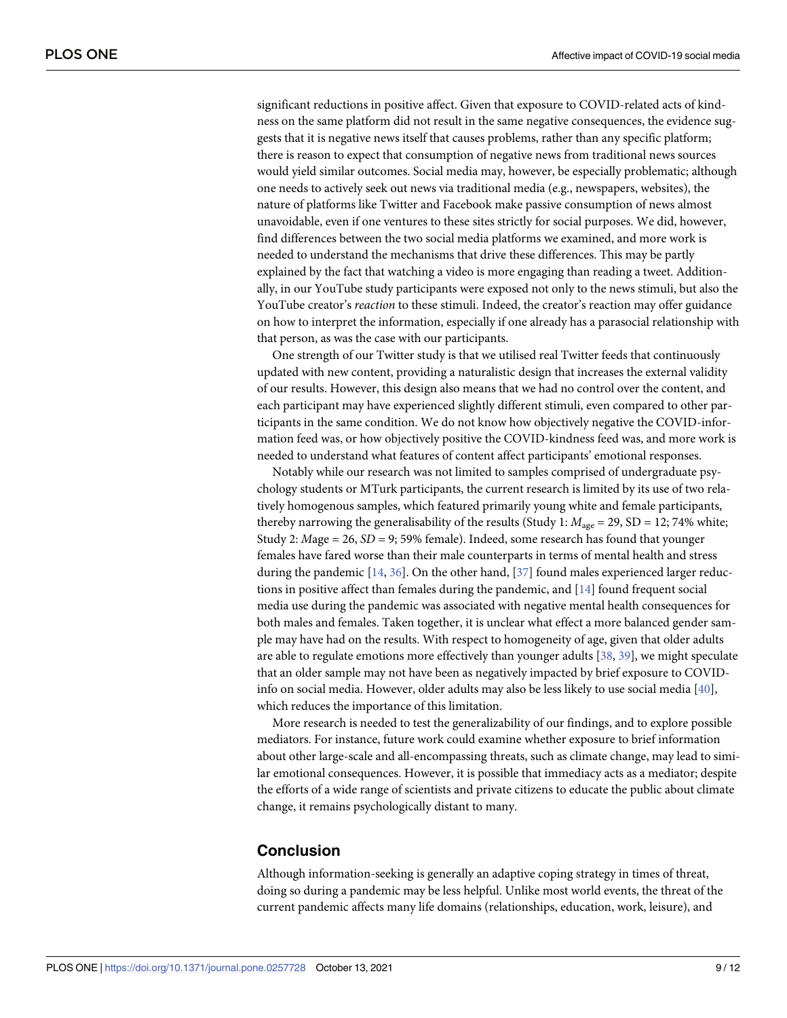<span id="page-8-0"></span>significant reductions in positive affect. Given that exposure to COVID-related acts of kindness on the same platform did not result in the same negative consequences, the evidence suggests that it is negative news itself that causes problems, rather than any specific platform; there is reason to expect that consumption of negative news from traditional news sources would yield similar outcomes. Social media may, however, be especially problematic; although one needs to actively seek out news via traditional media (e.g., newspapers, websites), the nature of platforms like Twitter and Facebook make passive consumption of news almost unavoidable, even if one ventures to these sites strictly for social purposes. We did, however, find differences between the two social media platforms we examined, and more work is needed to understand the mechanisms that drive these differences. This may be partly explained by the fact that watching a video is more engaging than reading a tweet. Additionally, in our YouTube study participants were exposed not only to the news stimuli, but also the YouTube creator's *reaction* to these stimuli. Indeed, the creator's reaction may offer guidance on how to interpret the information, especially if one already has a parasocial relationship with that person, as was the case with our participants.

One strength of our Twitter study is that we utilised real Twitter feeds that continuously updated with new content, providing a naturalistic design that increases the external validity of our results. However, this design also means that we had no control over the content, and each participant may have experienced slightly different stimuli, even compared to other participants in the same condition. We do not know how objectively negative the COVID-information feed was, or how objectively positive the COVID-kindness feed was, and more work is needed to understand what features of content affect participants' emotional responses.

Notably while our research was not limited to samples comprised of undergraduate psychology students or MTurk participants, the current research is limited by its use of two relatively homogenous samples, which featured primarily young white and female participants, thereby narrowing the generalisability of the results (Study 1:  $M_{\text{age}} = 29$ , SD = 12; 74% white; Study 2: *M*age = 26, *SD* = 9; 59% female). Indeed, some research has found that younger females have fared worse than their male counterparts in terms of mental health and stress during the pandemic [\[14,](#page-10-0) [36\]](#page-11-0). On the other hand, [\[37\]](#page-11-0) found males experienced larger reductions in positive affect than females during the pandemic, and [\[14\]](#page-10-0) found frequent social media use during the pandemic was associated with negative mental health consequences for both males and females. Taken together, it is unclear what effect a more balanced gender sample may have had on the results. With respect to homogeneity of age, given that older adults are able to regulate emotions more effectively than younger adults [\[38,](#page-11-0) [39\]](#page-11-0), we might speculate that an older sample may not have been as negatively impacted by brief exposure to COVIDinfo on social media. However, older adults may also be less likely to use social media [\[40\]](#page-11-0), which reduces the importance of this limitation.

More research is needed to test the generalizability of our findings, and to explore possible mediators. For instance, future work could examine whether exposure to brief information about other large-scale and all-encompassing threats, such as climate change, may lead to similar emotional consequences. However, it is possible that immediacy acts as a mediator; despite the efforts of a wide range of scientists and private citizens to educate the public about climate change, it remains psychologically distant to many.

# **Conclusion**

Although information-seeking is generally an adaptive coping strategy in times of threat, doing so during a pandemic may be less helpful. Unlike most world events, the threat of the current pandemic affects many life domains (relationships, education, work, leisure), and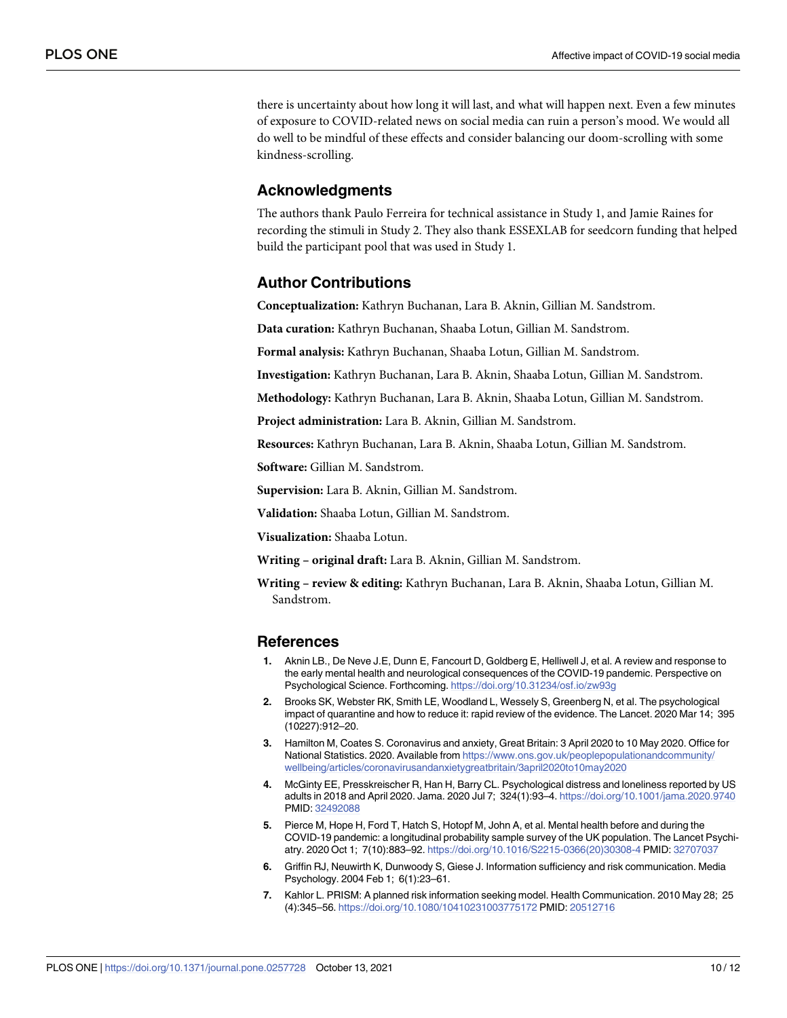<span id="page-9-0"></span>there is uncertainty about how long it will last, and what will happen next. Even a few minutes of exposure to COVID-related news on social media can ruin a person's mood. We would all do well to be mindful of these effects and consider balancing our doom-scrolling with some kindness-scrolling.

## **Acknowledgments**

The authors thank Paulo Ferreira for technical assistance in Study 1, and Jamie Raines for recording the stimuli in Study 2. They also thank ESSEXLAB for seedcorn funding that helped build the participant pool that was used in Study 1.

## **Author Contributions**

**Conceptualization:** Kathryn Buchanan, Lara B. Aknin, Gillian M. Sandstrom.

**Data curation:** Kathryn Buchanan, Shaaba Lotun, Gillian M. Sandstrom.

**Formal analysis:** Kathryn Buchanan, Shaaba Lotun, Gillian M. Sandstrom.

**Investigation:** Kathryn Buchanan, Lara B. Aknin, Shaaba Lotun, Gillian M. Sandstrom.

**Methodology:** Kathryn Buchanan, Lara B. Aknin, Shaaba Lotun, Gillian M. Sandstrom.

**Project administration:** Lara B. Aknin, Gillian M. Sandstrom.

**Resources:** Kathryn Buchanan, Lara B. Aknin, Shaaba Lotun, Gillian M. Sandstrom.

**Software:** Gillian M. Sandstrom.

**Supervision:** Lara B. Aknin, Gillian M. Sandstrom.

**Validation:** Shaaba Lotun, Gillian M. Sandstrom.

**Visualization:** Shaaba Lotun.

**Writing – original draft:** Lara B. Aknin, Gillian M. Sandstrom.

**Writing – review & editing:** Kathryn Buchanan, Lara B. Aknin, Shaaba Lotun, Gillian M. Sandstrom.

#### **References**

- **[1](#page-0-0).** Aknin LB., De Neve J.E, Dunn E, Fancourt D, Goldberg E, Helliwell J, et al. A review and response to the early mental health and neurological consequences of the COVID-19 pandemic. Perspective on Psychological Science. Forthcoming. <https://doi.org/10.31234/osf.io/zw93g>
- **2.** Brooks SK, Webster RK, Smith LE, Woodland L, Wessely S, Greenberg N, et al. The psychological impact of quarantine and how to reduce it: rapid review of the evidence. The Lancet. 2020 Mar 14; 395 (10227):912–20.
- **[3](#page-0-0).** Hamilton M, Coates S. Coronavirus and anxiety, Great Britain: 3 April 2020 to 10 May 2020. Office for National Statistics. 2020. Available from [https://www.ons.gov.uk/peoplepopulationandcommunity/](https://www.ons.gov.uk/peoplepopulationandcommunity/wellbeing/articles/coronavirusandanxietygreatbritain/3april2020to10may2020) [wellbeing/articles/coronavirusandanxietygreatbritain/3april2020to10may2020](https://www.ons.gov.uk/peoplepopulationandcommunity/wellbeing/articles/coronavirusandanxietygreatbritain/3april2020to10may2020)
- **[4](#page-0-0).** McGinty EE, Presskreischer R, Han H, Barry CL. Psychological distress and loneliness reported by US adults in 2018 and April 2020. Jama. 2020 Jul 7; 324(1):93–4. <https://doi.org/10.1001/jama.2020.9740> PMID: [32492088](http://www.ncbi.nlm.nih.gov/pubmed/32492088)
- **[5](#page-0-0).** Pierce M, Hope H, Ford T, Hatch S, Hotopf M, John A, et al. Mental health before and during the COVID-19 pandemic: a longitudinal probability sample survey of the UK population. The Lancet Psychiatry. 2020 Oct 1; 7(10):883–92. [https://doi.org/10.1016/S2215-0366\(20\)30308-4](https://doi.org/10.1016/S2215-0366%2820%2930308-4) PMID: [32707037](http://www.ncbi.nlm.nih.gov/pubmed/32707037)
- **[6](#page-0-0).** Griffin RJ, Neuwirth K, Dunwoody S, Giese J. Information sufficiency and risk communication. Media Psychology. 2004 Feb 1; 6(1):23–61.
- **[7](#page-0-0).** Kahlor L. PRISM: A planned risk information seeking model. Health Communication. 2010 May 28; 25 (4):345–56. <https://doi.org/10.1080/10410231003775172> PMID: [20512716](http://www.ncbi.nlm.nih.gov/pubmed/20512716)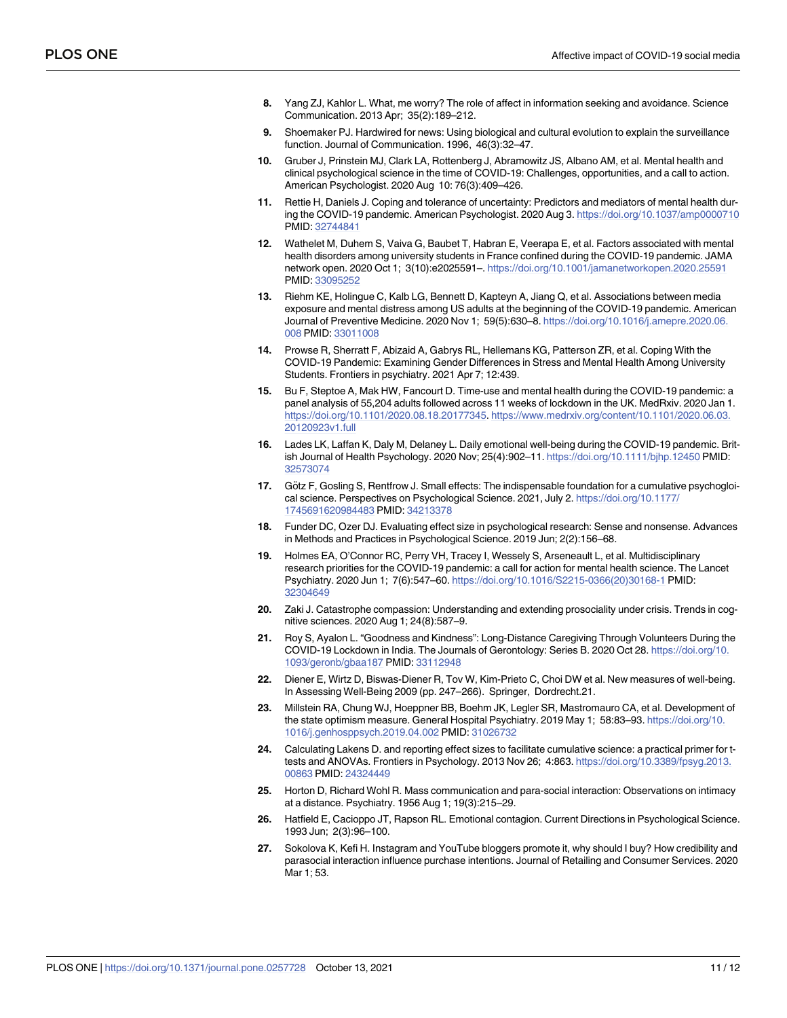- <span id="page-10-0"></span>**[8](#page-0-0).** Yang ZJ, Kahlor L. What, me worry? The role of affect in information seeking and avoidance. Science Communication. 2013 Apr; 35(2):189–212.
- **[9](#page-1-0).** Shoemaker PJ. Hardwired for news: Using biological and cultural evolution to explain the surveillance function. Journal of Communication. 1996, 46(3):32–47.
- **[10](#page-1-0).** Gruber J, Prinstein MJ, Clark LA, Rottenberg J, Abramowitz JS, Albano AM, et al. Mental health and clinical psychological science in the time of COVID-19: Challenges, opportunities, and a call to action. American Psychologist. 2020 Aug 10: 76(3):409–426.
- **[11](#page-1-0).** Rettie H, Daniels J. Coping and tolerance of uncertainty: Predictors and mediators of mental health during the COVID-19 pandemic. American Psychologist. 2020 Aug 3. <https://doi.org/10.1037/amp0000710> PMID: [32744841](http://www.ncbi.nlm.nih.gov/pubmed/32744841)
- **[12](#page-1-0).** Wathelet M, Duhem S, Vaiva G, Baubet T, Habran E, Veerapa E, et al. Factors associated with mental health disorders among university students in France confined during the COVID-19 pandemic. JAMA network open. 2020 Oct 1; 3(10):e2025591–. <https://doi.org/10.1001/jamanetworkopen.2020.25591> PMID: [33095252](http://www.ncbi.nlm.nih.gov/pubmed/33095252)
- **[13](#page-1-0).** Riehm KE, Holingue C, Kalb LG, Bennett D, Kapteyn A, Jiang Q, et al. Associations between media exposure and mental distress among US adults at the beginning of the COVID-19 pandemic. American Journal of Preventive Medicine. 2020 Nov 1; 59(5):630–8. [https://doi.org/10.1016/j.amepre.2020.06.](https://doi.org/10.1016/j.amepre.2020.06.008) [008](https://doi.org/10.1016/j.amepre.2020.06.008) PMID: [33011008](http://www.ncbi.nlm.nih.gov/pubmed/33011008)
- **[14](#page-1-0).** Prowse R, Sherratt F, Abizaid A, Gabrys RL, Hellemans KG, Patterson ZR, et al. Coping With the COVID-19 Pandemic: Examining Gender Differences in Stress and Mental Health Among University Students. Frontiers in psychiatry. 2021 Apr 7; 12:439.
- **[15](#page-1-0).** Bu F, Steptoe A, Mak HW, Fancourt D. Time-use and mental health during the COVID-19 pandemic: a panel analysis of 55,204 adults followed across 11 weeks of lockdown in the UK. MedRxiv. 2020 Jan 1. <https://doi.org/10.1101/2020.08.18.20177345>. [https://www.medrxiv.org/content/10.1101/2020.06.03.](https://www.medrxiv.org/content/10.1101/2020.06.03.20120923v1.full) [20120923v1.full](https://www.medrxiv.org/content/10.1101/2020.06.03.20120923v1.full)
- **[16](#page-1-0).** Lades LK, Laffan K, Daly M, Delaney L. Daily emotional well-being during the COVID-19 pandemic. British Journal of Health Psychology. 2020 Nov; 25(4):902–11. <https://doi.org/10.1111/bjhp.12450> PMID: [32573074](http://www.ncbi.nlm.nih.gov/pubmed/32573074)
- **[17](#page-2-0).** Götz F, Gosling S, Rentfrow J. Small effects: The indispensable foundation for a cumulative psychogloical science. Perspectives on Psychological Science. 2021, July 2. [https://doi.org/10.1177/](https://doi.org/10.1177/1745691620984483) [1745691620984483](https://doi.org/10.1177/1745691620984483) PMID: [34213378](http://www.ncbi.nlm.nih.gov/pubmed/34213378)
- **[18](#page-2-0).** Funder DC, Ozer DJ. Evaluating effect size in psychological research: Sense and nonsense. Advances in Methods and Practices in Psychological Science. 2019 Jun; 2(2):156–68.
- **[19](#page-2-0).** Holmes EA, O'Connor RC, Perry VH, Tracey I, Wessely S, Arseneault L, et al. Multidisciplinary research priorities for the COVID-19 pandemic: a call for action for mental health science. The Lancet Psychiatry. 2020 Jun 1; 7(6):547–60. [https://doi.org/10.1016/S2215-0366\(20\)30168-1](https://doi.org/10.1016/S2215-0366%2820%2930168-1) PMID: [32304649](http://www.ncbi.nlm.nih.gov/pubmed/32304649)
- **[20](#page-2-0).** Zaki J. Catastrophe compassion: Understanding and extending prosociality under crisis. Trends in cognitive sciences. 2020 Aug 1; 24(8):587–9.
- **[21](#page-2-0).** Roy S, Ayalon L. "Goodness and Kindness": Long-Distance Caregiving Through Volunteers During the COVID-19 Lockdown in India. The Journals of Gerontology: Series B. 2020 Oct 28. [https://doi.org/10.](https://doi.org/10.1093/geronb/gbaa187) [1093/geronb/gbaa187](https://doi.org/10.1093/geronb/gbaa187) PMID: [33112948](http://www.ncbi.nlm.nih.gov/pubmed/33112948)
- **[22](#page-3-0).** Diener E, Wirtz D, Biswas-Diener R, Tov W, Kim-Prieto C, Choi DW et al. New measures of well-being. In Assessing Well-Being 2009 (pp. 247–266). Springer, Dordrecht.21.
- **[23](#page-3-0).** Millstein RA, Chung WJ, Hoeppner BB, Boehm JK, Legler SR, Mastromauro CA, et al. Development of the state optimism measure. General Hospital Psychiatry. 2019 May 1; 58:83–93. [https://doi.org/10.](https://doi.org/10.1016/j.genhosppsych.2019.04.002) [1016/j.genhosppsych.2019.04.002](https://doi.org/10.1016/j.genhosppsych.2019.04.002) PMID: [31026732](http://www.ncbi.nlm.nih.gov/pubmed/31026732)
- **[24](#page-4-0).** Calculating Lakens D. and reporting effect sizes to facilitate cumulative science: a practical primer for ttests and ANOVAs. Frontiers in Psychology. 2013 Nov 26; 4:863. [https://doi.org/10.3389/fpsyg.2013.](https://doi.org/10.3389/fpsyg.2013.00863) [00863](https://doi.org/10.3389/fpsyg.2013.00863) PMID: [24324449](http://www.ncbi.nlm.nih.gov/pubmed/24324449)
- **[25](#page-5-0).** Horton D, Richard Wohl R. Mass communication and para-social interaction: Observations on intimacy at a distance. Psychiatry. 1956 Aug 1; 19(3):215–29.
- **[26](#page-5-0).** Hatfield E, Cacioppo JT, Rapson RL. Emotional contagion. Current Directions in Psychological Science. 1993 Jun; 2(3):96–100.
- **[27](#page-5-0).** Sokolova K, Kefi H. Instagram and YouTube bloggers promote it, why should I buy? How credibility and parasocial interaction influence purchase intentions. Journal of Retailing and Consumer Services. 2020 Mar 1; 53.